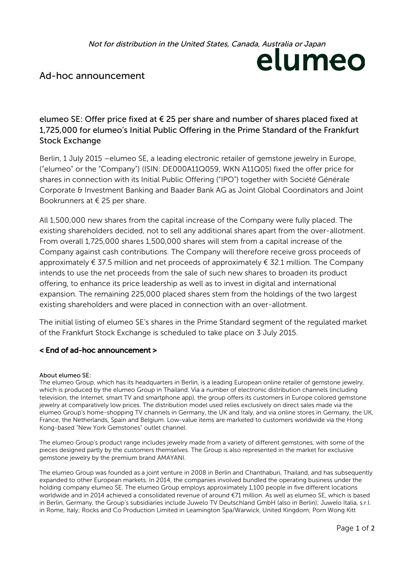Not for distribution in the United States, Canada, Australia or Japan

# elumeo

## Ad-hoc announcement

### elumeo SE: Offer price fixed at  $\epsilon$  25 per share and number of shares placed fixed at 1,725,000 for elumeo's Initial Public Offering in the Prime Standard of the Frankfurt Stock Exchange

Berlin, 1 July 2015 – elumeo SE, a leading electronic retailer of gemstone jewelry in Europe, ("elumeo" or the "Company") (ISIN: DE000A11Q059, WKN A11Q05) fixed the offer price for shares in connection with its Initial Public Offering ("IPO") together with Société Générale Corporate & Investment Banking and Baader Bank AG as Joint Global Coordinators and Joint Bookrunners at  $\in$  25 per share.

All 1,500,000 new shares from the capital increase of the Company were fully placed. The existing shareholders decided, not to sell any additional shares apart from the over-allotment. From overall 1,725,000 shares 1,500,000 shares will stem from a capital increase of the Company against cash contributions. The Company will therefore receive gross proceeds of approximately  $\epsilon$  37.5 million and net proceeds of approximately  $\epsilon$  32.1 million. The Company intends to use the net proceeds from the sale of such new shares to broaden its product offering, to enhance its price leadership as well as to invest in digital and international expansion. The remaining 225,000 placed shares stem from the holdings of the two largest existing shareholders and were placed in connection with an over-allotment.

The initial listing of elumeo SE's shares in the Prime Standard segment of the regulated market of the Frankfurt Stock Exchange is scheduled to take place on 3 July 2015.

#### < End of ad-hoc announcement >

#### About elumeo SE:

The elumeo Group, which has its headquarters in Berlin, is a leading European online retailer of gemstone jewelry, which is produced by the elumeo Group in Thailand. Via a number of electronic distribution channels (including television, the Internet, smart TV and smartphone app), the group offers its customers in Europe colored gemstone jewelry at comparatively low prices. The distribution model used relies exclusively on direct sales made via the elumeo Group's home-shopping TV channels in Germany, the UK and Italy, and via online stores in Germany, the UK, France, the Netherlands, Spain and Belgium. Low-value items are marketed to customers worldwide via the Hong Kong-based "New York Gemstones" outlet channel.

The elumeo Group's product range includes jewelry made from a variety of different gemstones, with some of the pieces designed partly by the customers themselves. The Group is also represented in the market for exclusive gemstone jewelry by the premium brand AMAYANI.

The elumeo Group was founded as a joint venture in 2008 in Berlin and Chanthaburi, Thailand, and has subsequently expanded to other European markets. In 2014, the companies involved bundled the operating business under the holding company elumeo SE. The elumeo Group employs approximately 1,100 people in five different locations worldwide and in 2014 achieved a consolidated revenue of around €71 million. As well as elumeo SE, which is based in Berlin, Germany, the Group's subsidiaries include Juwelo TV Deutschland GmbH (also in Berlin); Juwelo Italia, s.r.l. in Rome, Italy; Rocks and Co Production Limited in Leamington Spa/Warwick, United Kingdom; Porn Wong Kitt